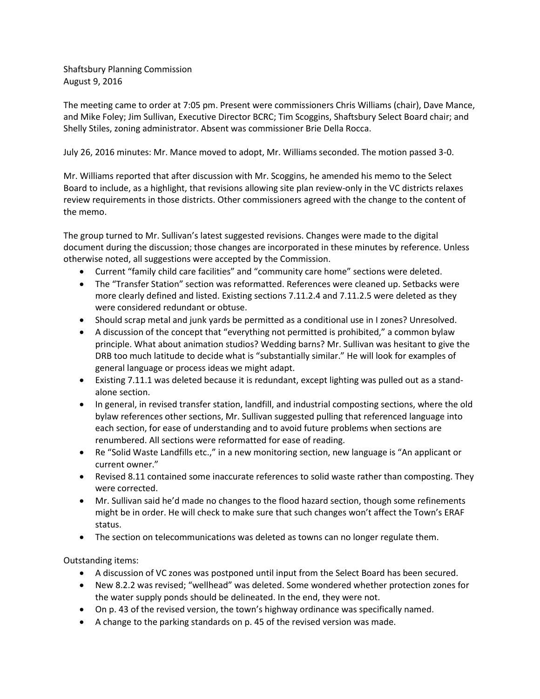Shaftsbury Planning Commission August 9, 2016

The meeting came to order at 7:05 pm. Present were commissioners Chris Williams (chair), Dave Mance, and Mike Foley; Jim Sullivan, Executive Director BCRC; Tim Scoggins, Shaftsbury Select Board chair; and Shelly Stiles, zoning administrator. Absent was commissioner Brie Della Rocca.

July 26, 2016 minutes: Mr. Mance moved to adopt, Mr. Williams seconded. The motion passed 3-0.

Mr. Williams reported that after discussion with Mr. Scoggins, he amended his memo to the Select Board to include, as a highlight, that revisions allowing site plan review-only in the VC districts relaxes review requirements in those districts. Other commissioners agreed with the change to the content of the memo.

The group turned to Mr. Sullivan's latest suggested revisions. Changes were made to the digital document during the discussion; those changes are incorporated in these minutes by reference. Unless otherwise noted, all suggestions were accepted by the Commission.

- Current "family child care facilities" and "community care home" sections were deleted.
- The "Transfer Station" section was reformatted. References were cleaned up. Setbacks were more clearly defined and listed. Existing sections 7.11.2.4 and 7.11.2.5 were deleted as they were considered redundant or obtuse.
- Should scrap metal and junk yards be permitted as a conditional use in I zones? Unresolved.
- A discussion of the concept that "everything not permitted is prohibited," a common bylaw principle. What about animation studios? Wedding barns? Mr. Sullivan was hesitant to give the DRB too much latitude to decide what is "substantially similar." He will look for examples of general language or process ideas we might adapt.
- Existing 7.11.1 was deleted because it is redundant, except lighting was pulled out as a standalone section.
- In general, in revised transfer station, landfill, and industrial composting sections, where the old bylaw references other sections, Mr. Sullivan suggested pulling that referenced language into each section, for ease of understanding and to avoid future problems when sections are renumbered. All sections were reformatted for ease of reading.
- Re "Solid Waste Landfills etc.," in a new monitoring section, new language is "An applicant or current owner."
- Revised 8.11 contained some inaccurate references to solid waste rather than composting. They were corrected.
- Mr. Sullivan said he'd made no changes to the flood hazard section, though some refinements might be in order. He will check to make sure that such changes won't affect the Town's ERAF status.
- The section on telecommunications was deleted as towns can no longer regulate them.

Outstanding items:

- A discussion of VC zones was postponed until input from the Select Board has been secured.
- New 8.2.2 was revised; "wellhead" was deleted. Some wondered whether protection zones for the water supply ponds should be delineated. In the end, they were not.
- On p. 43 of the revised version, the town's highway ordinance was specifically named.
- A change to the parking standards on p. 45 of the revised version was made.